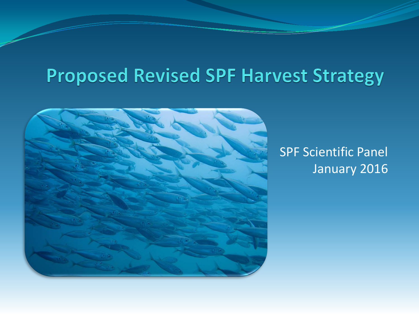# **Proposed Revised SPF Harvest Strategy**



### SPF Scientific Panel January 2016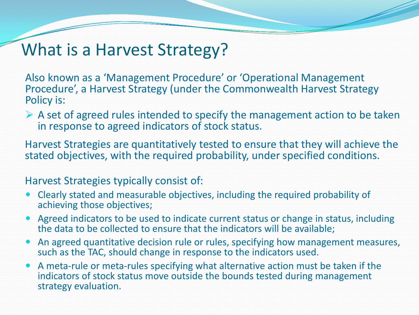## What is a Harvest Strategy?

Also known as a 'Management Procedure' or 'Operational Management Procedure', a Harvest Strategy (under the Commonwealth Harvest Strategy Policy is:

 $\triangleright$  A set of agreed rules intended to specify the management action to be taken in response to agreed indicators of stock status.

Harvest Strategies are quantitatively tested to ensure that they will achieve the stated objectives, with the required probability, under specified conditions.

#### Harvest Strategies typically consist of:

- Clearly stated and measurable objectives, including the required probability of achieving those objectives;
- Agreed indicators to be used to indicate current status or change in status, including the data to be collected to ensure that the indicators will be available;
- An agreed quantitative decision rule or rules, specifying how management measures, such as the TAC, should change in response to the indicators used.
- A meta-rule or meta-rules specifying what alternative action must be taken if the indicators of stock status move outside the bounds tested during management strategy evaluation.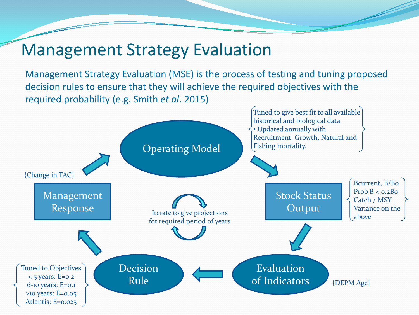### Management Strategy Evaluation

Management Strategy Evaluation (MSE) is the process of testing and tuning proposed decision rules to ensure that they will achieve the required objectives with the required probability (e.g. Smith *et al*. 2015)

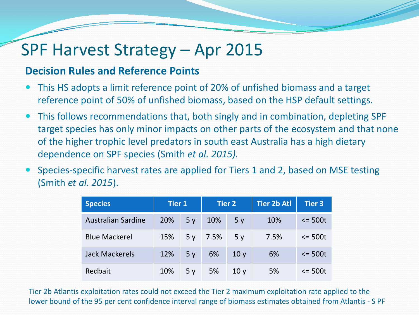## SPF Harvest Strategy – Apr 2015

#### **Decision Rules and Reference Points**

- This HS adopts a limit reference point of 20% of unfished biomass and a target reference point of 50% of unfished biomass, based on the HSP default settings.
- This follows recommendations that, both singly and in combination, depleting SPF target species has only minor impacts on other parts of the ecosystem and that none of the higher trophic level predators in south east Australia has a high dietary dependence on SPF species (Smith *et al. 2015).*
- Species-specific harvest rates are applied for Tiers 1 and 2, based on MSE testing (Smith *et al. 2015*).

| <b>Species</b>            | <b>Tier 1</b> |                | <b>Tier 2</b> |                 | <b>Tier 2b Atl</b> | <b>Tier 3</b>     |
|---------------------------|---------------|----------------|---------------|-----------------|--------------------|-------------------|
| <b>Australian Sardine</b> | 20%           | 5 <sub>v</sub> | 10%           | 5y              | 10%                | $\epsilon$ = 500t |
| <b>Blue Mackerel</b>      | 15%           |                | $5y$ 7.5%     | 5v              | 7.5%               | $\epsilon$ = 500t |
| <b>Jack Mackerels</b>     | 12%           | 5 <sub>v</sub> | 6%            | 10y             | 6%                 | $\epsilon$ = 500t |
| Redbait                   | 10%           | 5 <sub>v</sub> | 5%            | 10 <sub>V</sub> | 5%                 | $\leq$ 500t       |

Tier 2b Atlantis exploitation rates could not exceed the Tier 2 maximum exploitation rate applied to the lower bound of the 95 per cent confidence interval range of biomass estimates obtained from Atlantis - S PF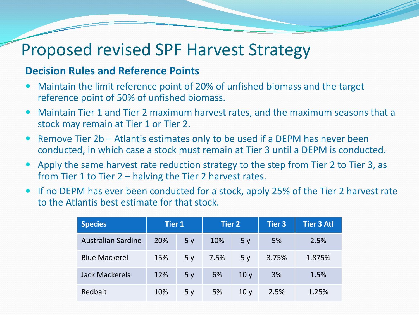## Proposed revised SPF Harvest Strategy

#### **Decision Rules and Reference Points**

- Maintain the limit reference point of 20% of unfished biomass and the target reference point of 50% of unfished biomass.
- Maintain Tier 1 and Tier 2 maximum harvest rates, and the maximum seasons that a stock may remain at Tier 1 or Tier 2.
- Remove Tier 2b Atlantis estimates only to be used if a DEPM has never been conducted, in which case a stock must remain at Tier 3 until a DEPM is conducted.
- Apply the same harvest rate reduction strategy to the step from Tier 2 to Tier 3, as from Tier 1 to Tier 2 – halving the Tier 2 harvest rates.
- If no DEPM has ever been conducted for a stock, apply 25% of the Tier 2 harvest rate to the Atlantis best estimate for that stock.

| <b>Species</b>            | <b>Tier 1</b> |                | <b>Tier 2</b> |                 | Tier $3$ | <b>Tier 3 Atl</b> |
|---------------------------|---------------|----------------|---------------|-----------------|----------|-------------------|
| <b>Australian Sardine</b> | 20%           | 5y             | 10%           | 5y              | 5%       | 2.5%              |
| <b>Blue Mackerel</b>      | 15%           | 5 <sub>v</sub> | 7.5%          | 5 <sub>v</sub>  | 3.75%    | 1.875%            |
| <b>Jack Mackerels</b>     | 12%           | 5 <sub>v</sub> | 6%            | 10 <sub>V</sub> | 3%       | 1.5%              |
| Redbait                   | 10%           | 5 <sub>v</sub> | 5%            | 10 <sub>V</sub> | 2.5%     | 1.25%             |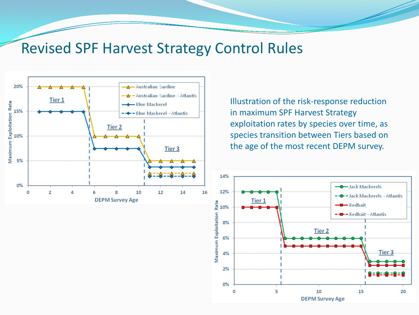### Revised SPF Harvest Strategy Control Rules



Illustration of the risk-response reduction in maximum SPF Harvest Strategy exploitation rates by species over time, as species transition between Tiers based on the age of the most recent DEPM survey.

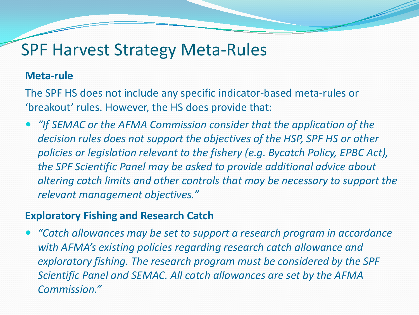### SPF Harvest Strategy Meta-Rules

#### **Meta-rule**

The SPF HS does not include any specific indicator-based meta-rules or 'breakout' rules. However, the HS does provide that:

 *"If SEMAC or the AFMA Commission consider that the application of the decision rules does not support the objectives of the HSP, SPF HS or other policies or legislation relevant to the fishery (e.g. Bycatch Policy, EPBC Act), the SPF Scientific Panel may be asked to provide additional advice about altering catch limits and other controls that may be necessary to support the relevant management objectives."*

#### **Exploratory Fishing and Research Catch**

 *"Catch allowances may be set to support a research program in accordance with AFMA's existing policies regarding research catch allowance and exploratory fishing. The research program must be considered by the SPF Scientific Panel and SEMAC. All catch allowances are set by the AFMA Commission."*